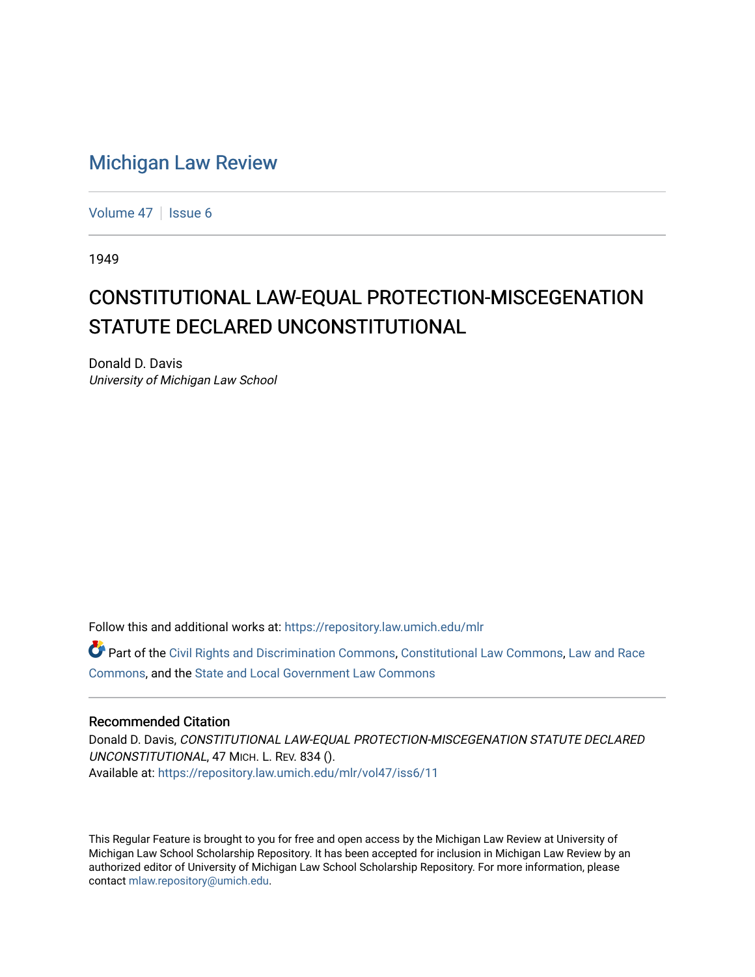## [Michigan Law Review](https://repository.law.umich.edu/mlr)

[Volume 47](https://repository.law.umich.edu/mlr/vol47) | [Issue 6](https://repository.law.umich.edu/mlr/vol47/iss6)

1949

## CONSTITUTIONAL LAW-EQUAL PROTECTION-MISCEGENATION STATUTE DECLARED UNCONSTITUTIONAL

Donald D. Davis University of Michigan Law School

Follow this and additional works at: [https://repository.law.umich.edu/mlr](https://repository.law.umich.edu/mlr?utm_source=repository.law.umich.edu%2Fmlr%2Fvol47%2Fiss6%2F11&utm_medium=PDF&utm_campaign=PDFCoverPages) 

Part of the [Civil Rights and Discrimination Commons,](http://network.bepress.com/hgg/discipline/585?utm_source=repository.law.umich.edu%2Fmlr%2Fvol47%2Fiss6%2F11&utm_medium=PDF&utm_campaign=PDFCoverPages) [Constitutional Law Commons,](http://network.bepress.com/hgg/discipline/589?utm_source=repository.law.umich.edu%2Fmlr%2Fvol47%2Fiss6%2F11&utm_medium=PDF&utm_campaign=PDFCoverPages) [Law and Race](http://network.bepress.com/hgg/discipline/1300?utm_source=repository.law.umich.edu%2Fmlr%2Fvol47%2Fiss6%2F11&utm_medium=PDF&utm_campaign=PDFCoverPages) [Commons](http://network.bepress.com/hgg/discipline/1300?utm_source=repository.law.umich.edu%2Fmlr%2Fvol47%2Fiss6%2F11&utm_medium=PDF&utm_campaign=PDFCoverPages), and the [State and Local Government Law Commons](http://network.bepress.com/hgg/discipline/879?utm_source=repository.law.umich.edu%2Fmlr%2Fvol47%2Fiss6%2F11&utm_medium=PDF&utm_campaign=PDFCoverPages)

## Recommended Citation

Donald D. Davis, CONSTITUTIONAL LAW-EQUAL PROTECTION-MISCEGENATION STATUTE DECLARED UNCONSTITUTIONAL, 47 MICH. L. REV. 834 (). Available at: [https://repository.law.umich.edu/mlr/vol47/iss6/11](https://repository.law.umich.edu/mlr/vol47/iss6/11?utm_source=repository.law.umich.edu%2Fmlr%2Fvol47%2Fiss6%2F11&utm_medium=PDF&utm_campaign=PDFCoverPages) 

This Regular Feature is brought to you for free and open access by the Michigan Law Review at University of Michigan Law School Scholarship Repository. It has been accepted for inclusion in Michigan Law Review by an authorized editor of University of Michigan Law School Scholarship Repository. For more information, please contact [mlaw.repository@umich.edu](mailto:mlaw.repository@umich.edu).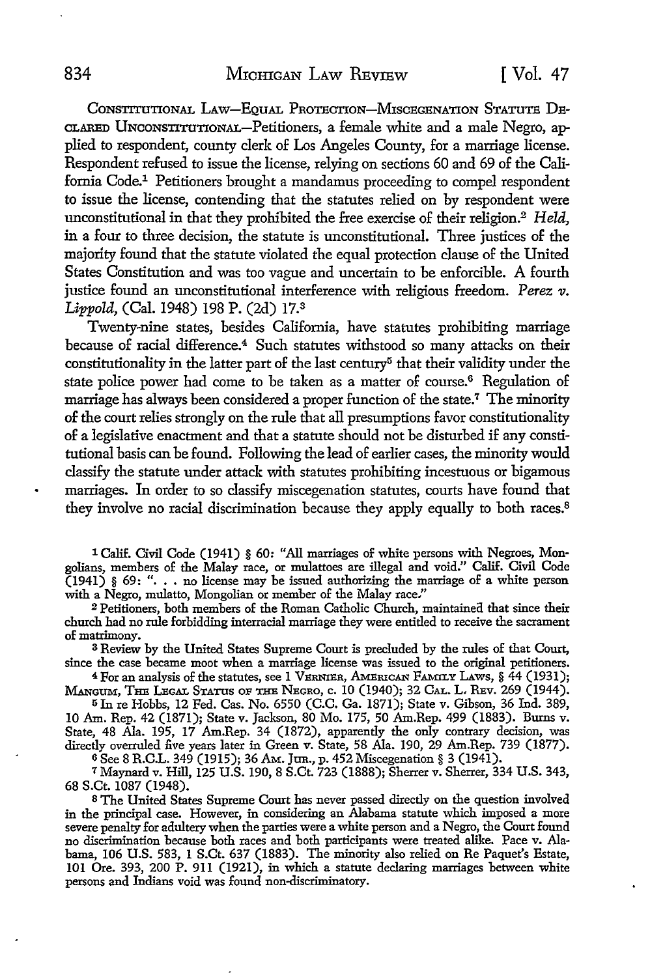CONSTITUTIONAL LAW-EQUAL PROTECTION-MISCEGENATION STATUTE DE-CLARED UNCONSTITUTIONAL-Petitioners, a female white and a male Negro, applied to respondent, county clerk of Los Angeles County, for a marriage license. Respondent refused to issue the license, relying on sections 60 and 69 of the California Code.1 Petitioners brought a mandamus proceeding to compel respondent to issue the license, contending that the statutes relied on by respondent were unconstitutional in that they prohibited the free exercise of their religion.<sup>2</sup>*Held,*  in a four to three decision, the statute is unconstitutional. Three justices of the majority found that the statute violated the equal protection clause of the United States Constitution and was too vague and uncertain to be enforcible. A fourth justice found an unconstitutional interference with religious freedom. *Perez v. Lippold,* (Cal. 1948) 198 P. (2d) 17.3

Twenty-nine states, besides California, have statutes prohibiting marriage because of racial difference.<sup>4</sup> Such statutes withstood so many attacks on their constitutionality in the latter part of the last century<sup>5</sup> that their validity under the state police power had come to be taken as a matter of course.<sup>6</sup> Regulation of marriage has always been considered a proper function of the state.<sup>7</sup> The minority of the court relies strongly on the rule that all presumptions favor constitutionality of a legislative enactment and that a statute should not be disturbed if any constitutional basis can be found. Following the lead of earlier cases, the minority would classify the statute under attack with statutes prohibiting incestuous or bigamous marriages. In order to so classify miscegenation statutes, courts have found that they involve no racial discrimination because they apply equally to both races.<sup>8</sup>

1 Calif. Civil Code (1941) § 60: "All marriages of white persons with Negroes, Mongolians, members of the Malay race, or mulattoes are illegal and void." Calif. Civil Code (1941) § 69: " .•• no license may be issued authorizing the marriage of a white person with a Negro, mulatto, Mongolian or member of the Malay race."

2 Petitioners, both members of the Roman Catholic Church, maintainea that since their church had no rule forbidding interracial marriage they were entitled to receive the sacrament of matrimony.

3 Review by the United States Supreme Court is precluded by the rules of that Court, since the case became moot when a marriage license was issued to the original petitioners.

<sup>4</sup>For an analysis of the statutes, see 1 VERNIER, AMErucAN FAMILY LAws, § 44 (1931); MANGUM, THE LEGAL STATUS oF THE NEGRO, c. IO (1940); 32 CAL. L. REv. 269 (1944).

<sup>5</sup>In re Hobbs, 12 Fed. Cas. No. 6550 (C.C. Ga. 1871); State v. Gibson, 36 Ind. 389, IO Am. Rep. 42 (1871); State v. Jackson, 80 Mo. 175, 50 Am.Rep. 499 (1883). Burns v. State, 48 Ala. 195, 17 Am.Rep. 34 (1872), apparently the ouly contrary decision, was directly overruled five years later in Green v. State, 58 Ala. 190, 29 Am.Rep. 739 (1877). <sup>6</sup>See 8 R.C.L. 349 (1915); 36 AM. Jun., p. 452 Miscegenation § 3 (1941).

7 Maynard v. Hill, 125 U.S. 190, 8 S.Ct. 723 (1888); Sherrer v. Sherrer, 334 U.S. 343, 68 S.Ct. 1087 (1948).

s The United States Supreme Court has never passed directly on the question involved in the principal case. However, in considering an Alabama statute which imposed a more severe penalty for adultery when the parties were a white person and a Negro, the Court found no discrimination because both races and both participants were treated alike. Pace v. Alabama, 106 U.S. 583, 1 S.Ct. 637 (1883). The minority also relied on Re Paquet's Estate, 101 Ore. 393, 200 P. 911 (1921), in which a statute declaring marriages between white persons and Indians void was found non-discriminatory.